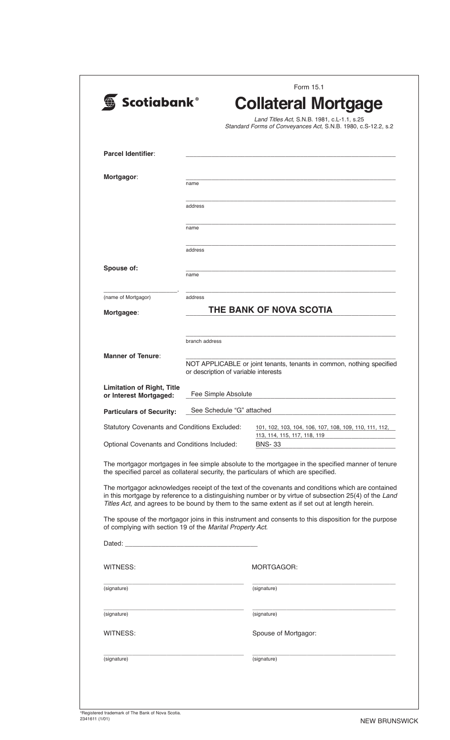| <b>Scotiabank®</b>                                          |                                      | <b>Collateral Mortgage</b><br>Land Titles Act, S.N.B. 1981, c.L-1.1, s.25                                                                                                                                                                                                                                                                                                                                             |
|-------------------------------------------------------------|--------------------------------------|-----------------------------------------------------------------------------------------------------------------------------------------------------------------------------------------------------------------------------------------------------------------------------------------------------------------------------------------------------------------------------------------------------------------------|
|                                                             |                                      | Standard Forms of Conveyances Act, S.N.B. 1980, c.S-12.2, s.2                                                                                                                                                                                                                                                                                                                                                         |
| Parcel Identifier:                                          |                                      |                                                                                                                                                                                                                                                                                                                                                                                                                       |
| Mortgagor:                                                  | name                                 |                                                                                                                                                                                                                                                                                                                                                                                                                       |
|                                                             | address                              |                                                                                                                                                                                                                                                                                                                                                                                                                       |
|                                                             | name                                 |                                                                                                                                                                                                                                                                                                                                                                                                                       |
|                                                             | address                              |                                                                                                                                                                                                                                                                                                                                                                                                                       |
| Spouse of:                                                  | name                                 |                                                                                                                                                                                                                                                                                                                                                                                                                       |
| (name of Mortgagor)                                         | address                              |                                                                                                                                                                                                                                                                                                                                                                                                                       |
| Mortgagee:                                                  |                                      | THE BANK OF NOVA SCOTIA                                                                                                                                                                                                                                                                                                                                                                                               |
|                                                             | branch address                       |                                                                                                                                                                                                                                                                                                                                                                                                                       |
| <b>Manner of Tenure:</b>                                    | or description of variable interests | NOT APPLICABLE or joint tenants, tenants in common, nothing specified                                                                                                                                                                                                                                                                                                                                                 |
| <b>Limitation of Right, Title</b><br>or Interest Mortgaged: | Fee Simple Absolute                  |                                                                                                                                                                                                                                                                                                                                                                                                                       |
| <b>Particulars of Security:</b>                             | See Schedule "G" attached            |                                                                                                                                                                                                                                                                                                                                                                                                                       |
| <b>Statutory Covenants and Conditions Excluded:</b>         |                                      | 101, 102, 103, 104, 106, 107, 108, 109, 110, 111, 112,<br>113, 114, 115, 117, 118, 119                                                                                                                                                                                                                                                                                                                                |
| Optional Covenants and Conditions Included:                 |                                      | <b>BNS-33</b>                                                                                                                                                                                                                                                                                                                                                                                                         |
|                                                             |                                      | The mortgagor mortgages in fee simple absolute to the mortgagee in the specified manner of tenure<br>the specified parcel as collateral security, the particulars of which are specified.                                                                                                                                                                                                                             |
|                                                             |                                      | The mortgagor acknowledges receipt of the text of the covenants and conditions which are contained<br>in this mortgage by reference to a distinguishing number or by virtue of subsection 25(4) of the Land<br>Titles Act, and agrees to be bound by them to the same extent as if set out at length herein.<br>The spouse of the mortgagor joins in this instrument and consents to this disposition for the purpose |
| of complying with section 19 of the Marital Property Act.   |                                      |                                                                                                                                                                                                                                                                                                                                                                                                                       |
|                                                             |                                      |                                                                                                                                                                                                                                                                                                                                                                                                                       |
| WITNESS:                                                    |                                      | MORTGAGOR:                                                                                                                                                                                                                                                                                                                                                                                                            |
| (signature)                                                 |                                      | (signature)                                                                                                                                                                                                                                                                                                                                                                                                           |
| (signature)                                                 |                                      | (signature)                                                                                                                                                                                                                                                                                                                                                                                                           |
| WITNESS:                                                    |                                      | Spouse of Mortgagor:                                                                                                                                                                                                                                                                                                                                                                                                  |
| (signature)                                                 |                                      | (signature)                                                                                                                                                                                                                                                                                                                                                                                                           |
|                                                             |                                      |                                                                                                                                                                                                                                                                                                                                                                                                                       |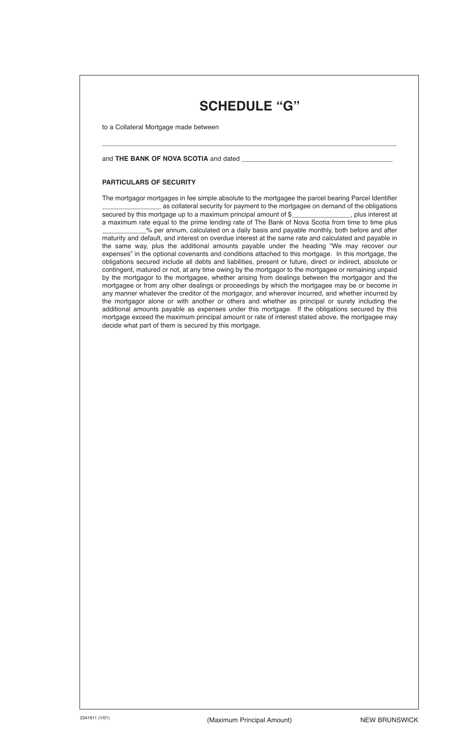# **SCHEDULE "G"**

\_\_\_\_\_\_\_\_\_\_\_\_\_\_\_\_\_\_\_\_\_\_\_\_\_\_\_\_\_\_\_\_\_\_\_\_\_\_\_\_\_\_\_\_\_\_\_\_\_\_\_\_\_\_\_\_\_\_\_\_\_\_\_\_\_\_\_\_\_\_\_\_\_\_\_\_\_\_\_\_

to a Collateral Mortgage made between

#### and THE BANK OF NOVA SCOTIA and dated \_\_

#### **PARTICULARS OF SECURITY**

The mortgagor mortgages in fee simple absolute to the mortgagee the parcel bearing Parcel Identifier as collateral security for payment to the mortgagee on demand of the obligations<br>tgage up to a maximum principal amount of \$\_\_\_\_\_\_\_\_\_\_\_\_\_\_\_\_\_\_, plus interest at secured by this mortgage up to a maximum principal amount of \$\_ a maximum rate equal to the prime lending rate of The Bank of Nova Scotia from time to time plus % per annum, calculated on a daily basis and payable monthly, both before and after maturity and default, and interest on overdue interest at the same rate and calculated and payable in the same way, plus the additional amounts payable under the heading "We may recover our expenses" in the optional covenants and conditions attached to this mortgage. In this mortgage, the obligations secured include all debts and liabilities, present or future, direct or indirect, absolute or contingent, matured or not, at any time owing by the mortgagor to the mortgagee or remaining unpaid by the mortgagor to the mortgagee, whether arising from dealings between the mortgagor and the mortgagee or from any other dealings or proceedings by which the mortgagee may be or become in any manner whatever the creditor of the mortgagor, and wherever incurred, and whether incurred by the mortgagor alone or with another or others and whether as principal or surety including the additional amounts payable as expenses under this mortgage. If the obligations secured by this mortgage exceed the maximum principal amount or rate of interest stated above, the mortgagee may decide what part of them is secured by this mortgage.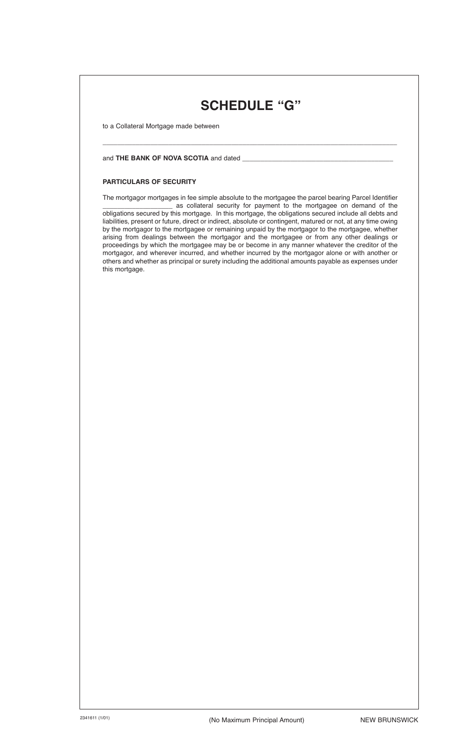# **SCHEDULE "G"**

\_\_\_\_\_\_\_\_\_\_\_\_\_\_\_\_\_\_\_\_\_\_\_\_\_\_\_\_\_\_\_\_\_\_\_\_\_\_\_\_\_\_\_\_\_\_\_\_\_\_\_\_\_\_\_\_\_\_\_\_\_\_\_\_\_\_\_\_\_\_\_\_\_\_\_\_\_\_\_\_

to a Collateral Mortgage made between

#### and **THE BANK OF NOVA SCOTIA** and dated \_\_\_\_\_\_\_\_\_\_\_\_\_\_\_\_\_\_\_\_\_\_\_\_\_\_\_\_\_\_\_\_\_\_\_\_\_\_\_\_\_

#### **PARTICULARS OF SECURITY**

The mortgagor mortgages in fee simple absolute to the mortgagee the parcel bearing Parcel Identifier as collateral security for payment to the mortgagee on demand of the obligations secured by this mortgage. In this mortgage, the obligations secured include all debts and liabilities, present or future, direct or indirect, absolute or contingent, matured or not, at any time owing by the mortgagor to the mortgagee or remaining unpaid by the mortgagor to the mortgagee, whether arising from dealings between the mortgagor and the mortgagee or from any other dealings or proceedings by which the mortgagee may be or become in any manner whatever the creditor of the mortgagor, and wherever incurred, and whether incurred by the mortgagor alone or with another or others and whether as principal or surety including the additional amounts payable as expenses under this mortgage.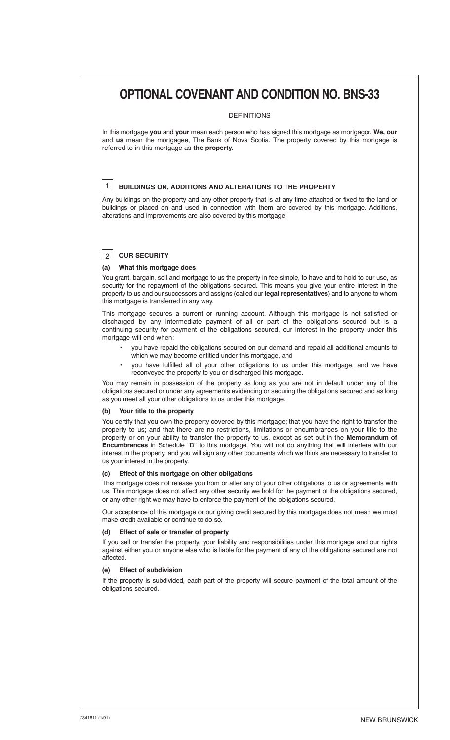# **OPTIONAL COVENANT AND CONDITION NO. BNS-33**

#### DEFINITIONS

In this mortgage **you** and **your** mean each person who has signed this mortgage as mortgagor. **We, our** and **us** mean the mortgagee, The Bank of Nova Scotia. The property covered by this mortgage is referred to in this mortgage as **the property.**

#### **BUILDINGS ON, ADDITIONS AND ALTERATIONS TO THE PROPERTY**  $|1\rangle$

Any buildings on the property and any other property that is at any time attached or fixed to the land or buildings or placed on and used in connection with them are covered by this mortgage. Additions, alterations and improvements are also covered by this mortgage.

# **OUR SECURITY** 2

#### **(a) What this mortgage does**

You grant, bargain, sell and mortgage to us the property in fee simple, to have and to hold to our use, as security for the repayment of the obligations secured. This means you give your entire interest in the property to us and our successors and assigns (called our **legal representatives**) and to anyone to whom this mortgage is transferred in any way.

This mortgage secures a current or running account. Although this mortgage is not satisfied or discharged by any intermediate payment of all or part of the obligations secured but is a continuing security for payment of the obligations secured, our interest in the property under this mortgage will end when:

- you have repaid the obligations secured on our demand and repaid all additional amounts to which we may become entitled under this mortgage, and
- you have fulfilled all of your other obligations to us under this mortgage, and we have reconveyed the property to you or discharged this mortgage.

You may remain in possession of the property as long as you are not in default under any of the obligations secured or under any agreements evidencing or securing the obligations secured and as long as you meet all your other obligations to us under this mortgage.

#### **(b) Your title to the property**

You certify that you own the property covered by this mortgage; that you have the right to transfer the property to us; and that there are no restrictions, limitations or encumbrances on your title to the property or on your ability to transfer the property to us, except as set out in the **Memorandum of Encumbrances** in Schedule "D" to this mortgage. You will not do anything that will interfere with our interest in the property, and you will sign any other documents which we think are necessary to transfer to us your interest in the property.

#### **(c) Effect of this mortgage on other obligations**

This mortgage does not release you from or alter any of your other obligations to us or agreements with us. This mortgage does not affect any other security we hold for the payment of the obligations secured, or any other right we may have to enforce the payment of the obligations secured.

Our acceptance of this mortgage or our giving credit secured by this mortgage does not mean we must make credit available or continue to do so.

#### **(d) Effect of sale or transfer of property**

If you sell or transfer the property, your liability and responsibilities under this mortgage and our rights against either you or anyone else who is liable for the payment of any of the obligations secured are not affected.

#### **(e) Effect of subdivision**

If the property is subdivided, each part of the property will secure payment of the total amount of the obligations secured.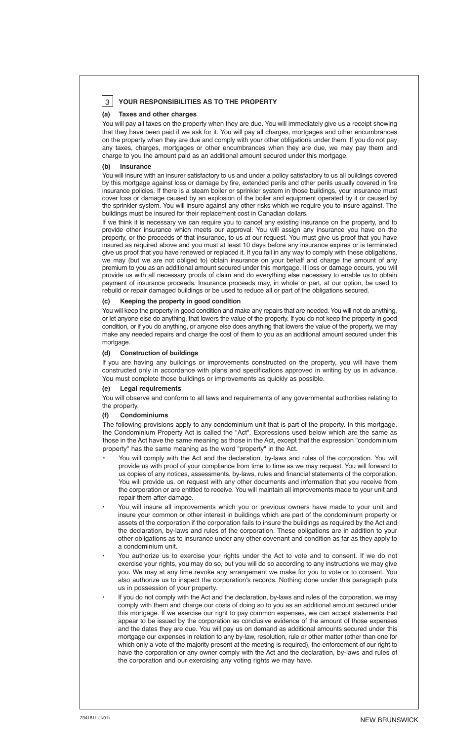# **YOUR RESPONSIBILITIES AS TO THE PROPERTY** 3

#### **(a) Taxes and other charges**

You will pay all taxes on the property when they are due. You will immediately give us a receipt showing that they have been paid if we ask for it. You will pay all charges, mortgages and other encumbrances on the property when they are due and comply with your other obligations under them. If you do not pay any taxes, charges, mortgages or other encumbrances when they are due, we may pay them and charge to you the amount paid as an additional amount secured under this mortgage.

#### **(b) Insurance**

You will insure with an insurer satisfactory to us and under a policy satisfactory to us all buildings covered by this mortgage against loss or damage by fire, extended perils and other perils usually covered in fire insurance policies. If there is a steam boiler or sprinkler system in those buildings, your insurance must cover loss or damage caused by an explosion of the boiler and equipment operated by it or caused by the sprinkler system. You will insure against any other risks which we require you to insure against. The buildings must be insured for their replacement cost in Canadian dollars.

If we think it is necessary we can require you to cancel any existing insurance on the property, and to provide other insurance which meets our approval. You will assign any insurance you have on the property, or the proceeds of that insurance, to us at our request. You must give us proof that you have insured as required above and you must at least 10 days before any insurance expires or is terminated give us proof that you have renewed or replaced it. If you fail in any way to comply with these obligations, we may (but we are not obliged to) obtain insurance on your behalf and charge the amount of any premium to you as an additional amount secured under this mortgage. If loss or damage occurs, you will provide us with all necessary proofs of claim and do everything else necessary to enable us to obtain payment of insurance proceeds. Insurance proceeds may, in whole or part, at our option, be used to rebuild or repair damaged buildings or be used to reduce all or part of the obligations secured.

#### **(c) Keeping the property in good condition**

You will keep the property in good condition and make any repairs that are needed. You will not do anything, or let anyone else do anything, that lowers the value of the property. If you do not keep the property in good condition, or if you do anything, or anyone else does anything that lowers the value of the property, we may make any needed repairs and charge the cost of them to you as an additional amount secured under this mortgage.

#### **(d) Construction of buildings**

If you are having any buildings or improvements constructed on the property, you will have them constructed only in accordance with plans and specifications approved in writing by us in advance. You must complete those buildings or improvements as quickly as possible.

#### **(e) Legal requirements**

You will observe and conform to all laws and requirements of any governmental authorities relating to the property.

#### **(f) Condominiums**

The following provisions apply to any condominium unit that is part of the property. In this mortgage, the Condominium Property Act is called the "Act". Expressions used below which are the same as those in the Act have the same meaning as those in the Act, except that the expression "condominium property" has the same meaning as the word "property" in the Act.

- You will comply with the Act and the declaration, by-laws and rules of the corporation. You will provide us with proof of your compliance from time to time as we may request. You will forward to us copies of any notices, assessments, by-laws, rules and financial statements of the corporation. You will provide us, on request with any other documents and information that you receive from the corporation or are entitled to receive. You will maintain all improvements made to your unit and repair them after damage.
- You will insure all improvements which you or previous owners have made to your unit and insure your common or other interest in buildings which are part of the condominium property or assets of the corporation if the corporation fails to insure the buildings as required by the Act and the declaration, by-laws and rules of the corporation. These obligations are in addition to your other obligations as to insurance under any other covenant and condition as far as they apply to a condominium unit.
- You authorize us to exercise your rights under the Act to vote and to consent. If we do not exercise your rights, you may do so, but you will do so according to any instructions we may give you. We may at any time revoke any arrangement we make for you to vote or to consent. You also authorize us to inspect the corporation's records. Nothing done under this paragraph puts us in possession of your property.
- If you do not comply with the Act and the declaration, by-laws and rules of the corporation, we may comply with them and charge our costs of doing so to you as an additional amount secured under this mortgage. If we exercise our right to pay common expenses, we can accept statements that appear to be issued by the corporation as conclusive evidence of the amount of those expenses and the dates they are due. You will pay us on demand as additional amounts secured under this mortgage our expenses in relation to any by-law, resolution, rule or other matter (other than one for which only a vote of the majority present at the meeting is required), the enforcement of our right to have the corporation or any owner comply with the Act and the declaration, by-laws and rules of the corporation and our exercising any voting rights we may have.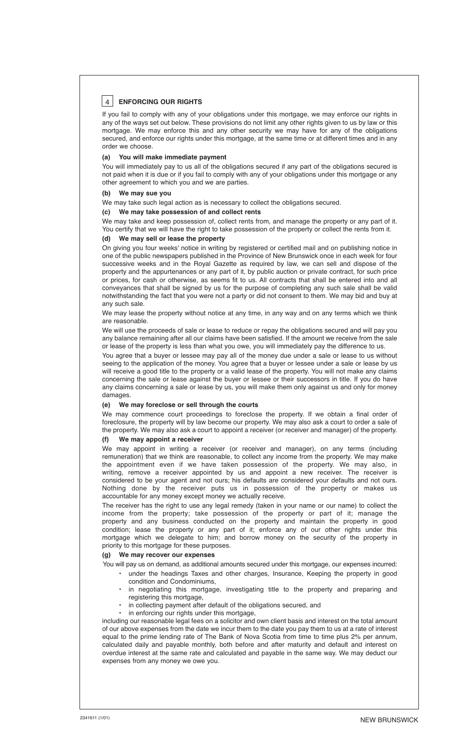# **ENFORCING OUR RIGHTS** 4

If you fail to comply with any of your obligations under this mortgage, we may enforce our rights in any of the ways set out below. These provisions do not limit any other rights given to us by law or this mortgage. We may enforce this and any other security we may have for any of the obligations secured, and enforce our rights under this mortgage, at the same time or at different times and in any order we choose.

#### **(a) You will make immediate payment**

You will immediately pay to us all of the obligations secured if any part of the obligations secured is not paid when it is due or if you fail to comply with any of your obligations under this mortgage or any other agreement to which you and we are parties.

#### **(b) We may sue you**

We may take such legal action as is necessary to collect the obligations secured.

**(c) We may take possession of and collect rents**

We may take and keep possession of, collect rents from, and manage the property or any part of it. You certify that we will have the right to take possession of the property or collect the rents from it.

#### **(d) We may sell or lease the property**

On giving you four weeks' notice in writing by registered or certified mail and on publishing notice in one of the public newspapers published in the Province of New Brunswick once in each week for four successive weeks and in the Royal Gazette as required by law, we can sell and dispose of the property and the appurtenances or any part of it, by public auction or private contract, for such price or prices, for cash or otherwise, as seems fit to us. All contracts that shall be entered into and all conveyances that shall be signed by us for the purpose of completing any such sale shall be valid notwithstanding the fact that you were not a party or did not consent to them. We may bid and buy at any such sale.

We may lease the property without notice at any time, in any way and on any terms which we think are reasonable.

We will use the proceeds of sale or lease to reduce or repay the obligations secured and will pay you any balance remaining after all our claims have been satisfied. If the amount we receive from the sale or lease of the property is less than what you owe, you will immediately pay the difference to us.

You agree that a buyer or lessee may pay all of the money due under a sale or lease to us without seeing to the application of the money. You agree that a buyer or lessee under a sale or lease by us will receive a good title to the property or a valid lease of the property. You will not make any claims concerning the sale or lease against the buyer or lessee or their successors in title. If you do have any claims concerning a sale or lease by us, you will make them only against us and only for money damages.

#### **(e)****We may foreclose or sell through the courts**

We may commence court proceedings to foreclose the property. If we obtain a final order of foreclosure, the property will by law become our property. We may also ask a court to order a sale of the property. We may also ask a court to appoint a receiver (or receiver and manager) of the property.

## **(f) We may appoint a receiver**

We may appoint in writing a receiver (or receiver and manager), on any terms (including remuneration) that we think are reasonable, to collect any income from the property. We may make the appointment even if we have taken possession of the property. We may also, in writing, remove a receiver appointed by us and appoint a new receiver. The receiver is considered to be your agent and not ours; his defaults are considered your defaults and not ours. Nothing done by the receiver puts us in possession of the property or makes us accountable for any money except money we actually receive.

The receiver has the right to use any legal remedy (taken in your name or our name) to collect the income from the property; take possession of the property or part of it; manage the property and any business conducted on the property and maintain the property in good condition; lease the property or any part of it; enforce any of our other rights under this mortgage which we delegate to him; and borrow money on the security of the property in priority to this mortgage for these purposes.

#### **(g) We may recover our expenses**

You will pay us on demand, as additional amounts secured under this mortgage, our expenses incurred:

- under the headings Taxes and other charges, Insurance, keeping the property in good condition and Condominiums,
- in negotiating this mortgage, investigating title to the property and preparing and registering this mortgage,
- in collecting payment after default of the obligations secured, and
- in enforcing our rights under this mortgage,

including our reasonable legal fees on a solicitor and own client basis and interest on the total amount of our above expenses from the date we incur them to the date you pay them to us at a rate of interest equal to the prime lending rate of The Bank of Nova Scotia from time to time plus 2% per annum, calculated daily and payable monthly, both before and after maturity and default and interest on overdue interest at the same rate and calculated and payable in the same way. We may deduct our expenses from any money we owe you.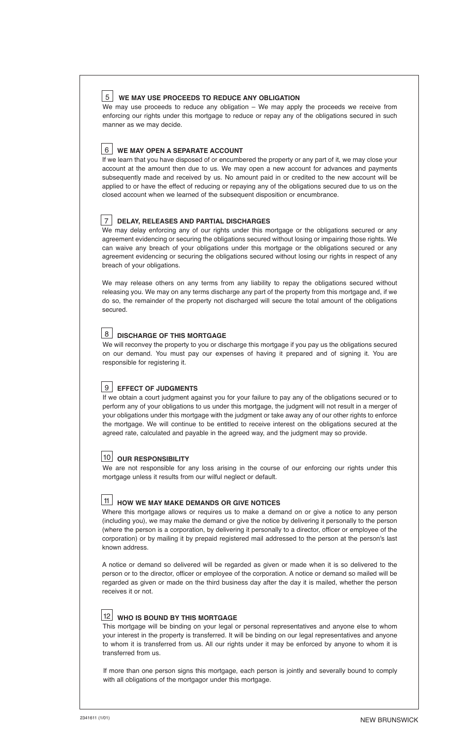## **WE MAY USE PROCEEDS TO REDUCE ANY OBLIGATION** 5

We may use proceeds to reduce any obligation – We may apply the proceeds we receive from enforcing our rights under this mortgage to reduce or repay any of the obligations secured in such manner as we may decide.

## **WE MAY OPEN A SEPARATE ACCOUNT** 6

If we learn that you have disposed of or encumbered the property or any part of it, we may close your account at the amount then due to us. We may open a new account for advances and payments subsequently made and received by us. No amount paid in or credited to the new account will be applied to or have the effect of reducing or repaying any of the obligations secured due to us on the closed account when we learned of the subsequent disposition or encumbrance.

## **DELAY, RELEASES AND PARTIAL DISCHARGES** 7

We may delay enforcing any of our rights under this mortgage or the obligations secured or any agreement evidencing or securing the obligations secured without losing or impairing those rights. We can waive any breach of your obligations under this mortgage or the obligations secured or any agreement evidencing or securing the obligations secured without losing our rights in respect of any breach of your obligations.

We may release others on any terms from any liability to repay the obligations secured without releasing you. We may on any terms discharge any part of the property from this mortgage and, if we do so, the remainder of the property not discharged will secure the total amount of the obligations secured.

# **DISCHARGE OF THIS MORTGAGE** 8

We will reconvey the property to you or discharge this mortgage if you pay us the obligations secured on our demand. You must pay our expenses of having it prepared and of signing it. You are responsible for registering it.

# **EFFECT OF JUDGMENTS** 9

If we obtain a court judgment against you for your failure to pay any of the obligations secured or to perform any of your obligations to us under this mortgage, the judgment will not result in a merger of your obligations under this mortgage with the judgment or take away any of our other rights to enforce the mortgage. We will continue to be entitled to receive interest on the obligations secured at the agreed rate, calculated and payable in the agreed way, and the judgment may so provide.

# **OUR RESPONSIBILITY** 10

We are not responsible for any loss arising in the course of our enforcing our rights under this mortgage unless it results from our wilful neglect or default.

#### **HOW WE MAY MAKE DEMANDS OR GIVE NOTICES** 11

Where this mortgage allows or requires us to make a demand on or give a notice to any person (including you), we may make the demand or give the notice by delivering it personally to the person (where the person is a corporation, by delivering it personally to a director, officer or employee of the corporation) or by mailing it by prepaid registered mail addressed to the person at the person's last known address.

A notice or demand so delivered will be regarded as given or made when it is so delivered to the person or to the director, officer or employee of the corporation. A notice or demand so mailed will be regarded as given or made on the third business day after the day it is mailed, whether the person receives it or not.

## **WHO IS BOUND BY THIS MORTGAGE** 12

This mortgage will be binding on your legal or personal representatives and anyone else to whom your interest in the property is transferred. It will be binding on our legal representatives and anyone to whom it is transferred from us. All our rights under it may be enforced by anyone to whom it is transferred from us.

If more than one person signs this mortgage, each person is jointly and severally bound to comply with all obligations of the mortgagor under this mortgage.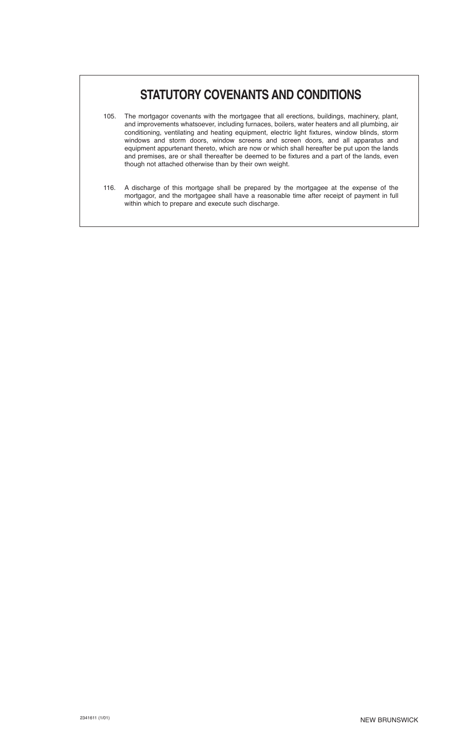# **STATUTORY COVENANTS AND CONDITIONS**

- 105. The mortgagor covenants with the mortgagee that all erections, buildings, machinery, plant, and improvements whatsoever, including furnaces, boilers, water heaters and all plumbing, air conditioning, ventilating and heating equipment, electric light fixtures, window blinds, storm windows and storm doors, window screens and screen doors, and all apparatus and equipment appurtenant thereto, which are now or which shall hereafter be put upon the lands and premises, are or shall thereafter be deemed to be fixtures and a part of the lands, even though not attached otherwise than by their own weight.
- 116. A discharge of this mortgage shall be prepared by the mortgagee at the expense of the mortgagor, and the mortgagee shall have a reasonable time after receipt of payment in full within which to prepare and execute such discharge.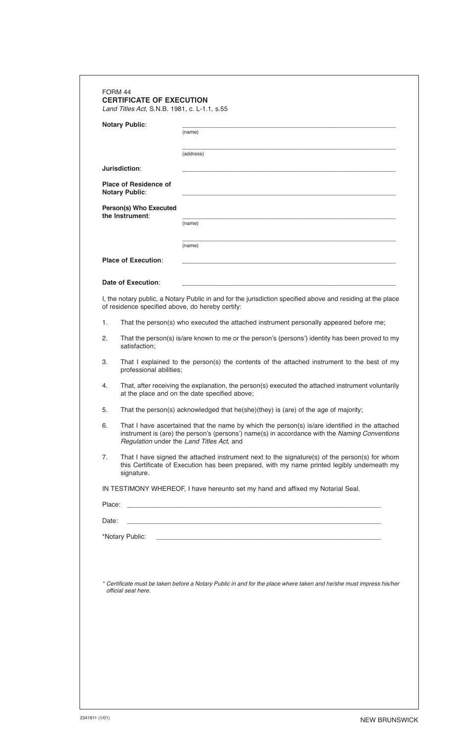|        | <b>Notary Public:</b>                                                                                                                                                                                                                        |                                                                                                                     |  |  |
|--------|----------------------------------------------------------------------------------------------------------------------------------------------------------------------------------------------------------------------------------------------|---------------------------------------------------------------------------------------------------------------------|--|--|
|        |                                                                                                                                                                                                                                              | (name)                                                                                                              |  |  |
|        |                                                                                                                                                                                                                                              | (address)                                                                                                           |  |  |
|        | Jurisdiction:                                                                                                                                                                                                                                |                                                                                                                     |  |  |
|        | <b>Place of Residence of</b><br><b>Notary Public:</b>                                                                                                                                                                                        |                                                                                                                     |  |  |
|        | Person(s) Who Executed<br>the Instrument:                                                                                                                                                                                                    | (name)                                                                                                              |  |  |
|        |                                                                                                                                                                                                                                              |                                                                                                                     |  |  |
|        |                                                                                                                                                                                                                                              | (name)                                                                                                              |  |  |
|        | <b>Place of Execution:</b>                                                                                                                                                                                                                   |                                                                                                                     |  |  |
|        | <b>Date of Execution:</b>                                                                                                                                                                                                                    | the control of the control of the control of the control of the control of the control of                           |  |  |
|        | of residence specified above, do hereby certify:                                                                                                                                                                                             | I, the notary public, a Notary Public in and for the jurisdiction specified above and residing at the place         |  |  |
| 1.     |                                                                                                                                                                                                                                              | That the person(s) who executed the attached instrument personally appeared before me;                              |  |  |
| 2.     | That the person(s) is/are known to me or the person's (persons') identity has been proved to my<br>satisfaction;                                                                                                                             |                                                                                                                     |  |  |
| З.     | That I explained to the person(s) the contents of the attached instrument to the best of my<br>professional abilities;                                                                                                                       |                                                                                                                     |  |  |
| 4.     | That, after receiving the explanation, the person(s) executed the attached instrument voluntarily<br>at the place and on the date specified above;                                                                                           |                                                                                                                     |  |  |
| 5.     |                                                                                                                                                                                                                                              | That the person(s) acknowledged that he(she)(they) is (are) of the age of majority;                                 |  |  |
| 6.     | That I have ascertained that the name by which the person(s) is/are identified in the attached<br>instrument is (are) the person's (persons') name(s) in accordance with the Naming Conventions<br>Regulation under the Land Titles Act, and |                                                                                                                     |  |  |
| 7.     | That I have signed the attached instrument next to the signature(s) of the person(s) for whom<br>this Certificate of Execution has been prepared, with my name printed legibly underneath my<br>signature.                                   |                                                                                                                     |  |  |
|        |                                                                                                                                                                                                                                              | IN TESTIMONY WHEREOF, I have hereunto set my hand and affixed my Notarial Seal.                                     |  |  |
| Place: |                                                                                                                                                                                                                                              |                                                                                                                     |  |  |
| Date:  |                                                                                                                                                                                                                                              |                                                                                                                     |  |  |
|        | *Notary Public:                                                                                                                                                                                                                              |                                                                                                                     |  |  |
|        |                                                                                                                                                                                                                                              |                                                                                                                     |  |  |
|        |                                                                                                                                                                                                                                              |                                                                                                                     |  |  |
|        |                                                                                                                                                                                                                                              | * Certificate must be taken before a Notary Public in and for the place where taken and he/she must impress his/her |  |  |
|        | official seal here.                                                                                                                                                                                                                          |                                                                                                                     |  |  |
|        |                                                                                                                                                                                                                                              |                                                                                                                     |  |  |
|        |                                                                                                                                                                                                                                              |                                                                                                                     |  |  |
|        |                                                                                                                                                                                                                                              |                                                                                                                     |  |  |
|        |                                                                                                                                                                                                                                              |                                                                                                                     |  |  |
|        |                                                                                                                                                                                                                                              |                                                                                                                     |  |  |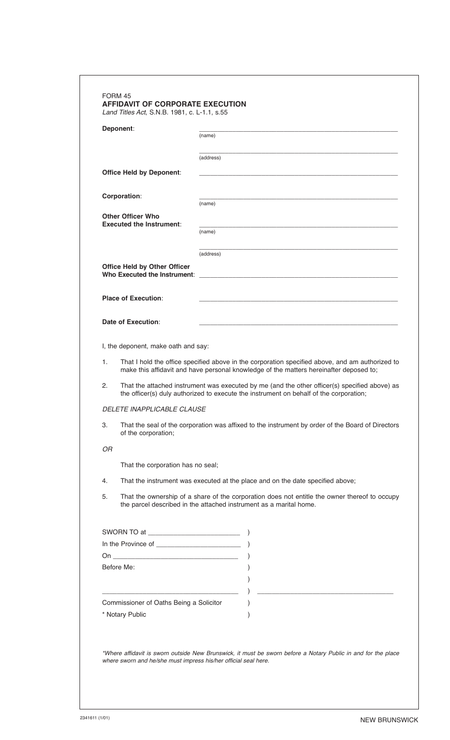|    | Deponent:                                                                                                                                                                                                                                                                                                                                                                                                                                                                                               |                                                                                                                                                                                                                                |
|----|---------------------------------------------------------------------------------------------------------------------------------------------------------------------------------------------------------------------------------------------------------------------------------------------------------------------------------------------------------------------------------------------------------------------------------------------------------------------------------------------------------|--------------------------------------------------------------------------------------------------------------------------------------------------------------------------------------------------------------------------------|
|    |                                                                                                                                                                                                                                                                                                                                                                                                                                                                                                         | (name)                                                                                                                                                                                                                         |
|    |                                                                                                                                                                                                                                                                                                                                                                                                                                                                                                         | (address)                                                                                                                                                                                                                      |
|    | <b>Office Held by Deponent:</b>                                                                                                                                                                                                                                                                                                                                                                                                                                                                         |                                                                                                                                                                                                                                |
|    | Corporation:                                                                                                                                                                                                                                                                                                                                                                                                                                                                                            |                                                                                                                                                                                                                                |
|    | <b>Other Officer Who</b>                                                                                                                                                                                                                                                                                                                                                                                                                                                                                | (name)                                                                                                                                                                                                                         |
|    | <b>Executed the Instrument:</b>                                                                                                                                                                                                                                                                                                                                                                                                                                                                         | (name)                                                                                                                                                                                                                         |
|    |                                                                                                                                                                                                                                                                                                                                                                                                                                                                                                         |                                                                                                                                                                                                                                |
|    |                                                                                                                                                                                                                                                                                                                                                                                                                                                                                                         | (address)                                                                                                                                                                                                                      |
|    | <b>Office Held by Other Officer</b>                                                                                                                                                                                                                                                                                                                                                                                                                                                                     | Who Executed the Instrument: New York Changes and the United States of the United States and States and States of the United States and States and States and States and States and States and States and States and States an |
|    | <b>Place of Execution:</b>                                                                                                                                                                                                                                                                                                                                                                                                                                                                              |                                                                                                                                                                                                                                |
|    |                                                                                                                                                                                                                                                                                                                                                                                                                                                                                                         |                                                                                                                                                                                                                                |
|    | Date of Execution:                                                                                                                                                                                                                                                                                                                                                                                                                                                                                      |                                                                                                                                                                                                                                |
|    | I, the deponent, make oath and say:                                                                                                                                                                                                                                                                                                                                                                                                                                                                     |                                                                                                                                                                                                                                |
| 1. |                                                                                                                                                                                                                                                                                                                                                                                                                                                                                                         | That I hold the office specified above in the corporation specified above, and am authorized to<br>make this affidavit and have personal knowledge of the matters hereinafter deposed to;                                      |
| 2. |                                                                                                                                                                                                                                                                                                                                                                                                                                                                                                         | That the attached instrument was executed by me (and the other officer(s) specified above) as<br>the officer(s) duly authorized to execute the instrument on behalf of the corporation;                                        |
|    | <b>DELETE INAPPLICABLE CLAUSE</b>                                                                                                                                                                                                                                                                                                                                                                                                                                                                       |                                                                                                                                                                                                                                |
| З. | That the seal of the corporation was affixed to the instrument by order of the Board of Directors<br>of the corporation;                                                                                                                                                                                                                                                                                                                                                                                |                                                                                                                                                                                                                                |
| OR |                                                                                                                                                                                                                                                                                                                                                                                                                                                                                                         |                                                                                                                                                                                                                                |
|    | That the corporation has no seal;                                                                                                                                                                                                                                                                                                                                                                                                                                                                       |                                                                                                                                                                                                                                |
| 4. |                                                                                                                                                                                                                                                                                                                                                                                                                                                                                                         | That the instrument was executed at the place and on the date specified above;                                                                                                                                                 |
| 5. |                                                                                                                                                                                                                                                                                                                                                                                                                                                                                                         | That the ownership of a share of the corporation does not entitle the owner thereof to occupy<br>the parcel described in the attached instrument as a marital home.                                                            |
|    |                                                                                                                                                                                                                                                                                                                                                                                                                                                                                                         |                                                                                                                                                                                                                                |
|    |                                                                                                                                                                                                                                                                                                                                                                                                                                                                                                         |                                                                                                                                                                                                                                |
|    | $On \begin{tabular}{cccccc} \multicolumn{3}{c}{{\textbf{On}}}& & & {\textbf{On}}\\ \multicolumn{3}{c}{{\textbf{On}}}& & {\textbf{On}}\\ \multicolumn{3}{c}{{\textbf{On}}}& & {\textbf{On}}\\ \multicolumn{3}{c}{{\textbf{On}}}& & {\textbf{On}}\\ \multicolumn{3}{c}{{\textbf{On}}}& & {\textbf{On}}\\ \multicolumn{3}{c}{{\textbf{On}}}& & {\textbf{On}}\\ \multicolumn{3}{c}{{\textbf{On}}}& & {\textbf{On}}\\ \multicolumn{3}{c}{{\textbf{On}}}& & {\textbf{On}}\\ \multicolumn{3}{c}$<br>Before Me: |                                                                                                                                                                                                                                |
|    |                                                                                                                                                                                                                                                                                                                                                                                                                                                                                                         |                                                                                                                                                                                                                                |
|    |                                                                                                                                                                                                                                                                                                                                                                                                                                                                                                         |                                                                                                                                                                                                                                |
|    | Commissioner of Oaths Being a Solicitor<br>* Notary Public                                                                                                                                                                                                                                                                                                                                                                                                                                              |                                                                                                                                                                                                                                |
|    |                                                                                                                                                                                                                                                                                                                                                                                                                                                                                                         |                                                                                                                                                                                                                                |
|    |                                                                                                                                                                                                                                                                                                                                                                                                                                                                                                         |                                                                                                                                                                                                                                |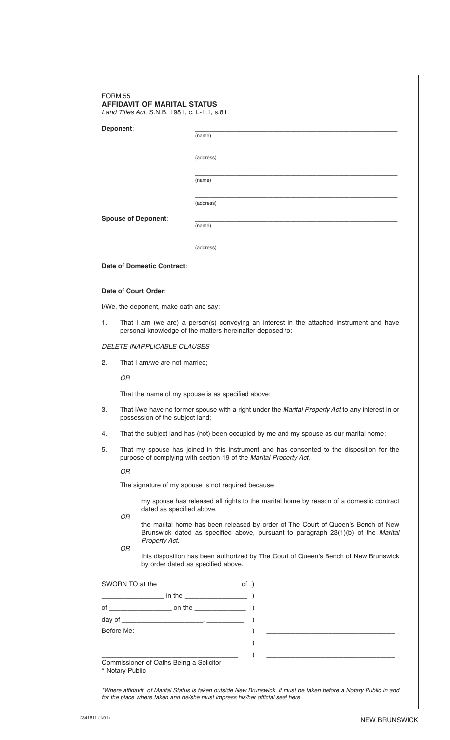|    | Deponent:                                                                                                                                                                   |                                                                                                                                      |  |  |
|----|-----------------------------------------------------------------------------------------------------------------------------------------------------------------------------|--------------------------------------------------------------------------------------------------------------------------------------|--|--|
|    |                                                                                                                                                                             | (name)                                                                                                                               |  |  |
|    |                                                                                                                                                                             | (address)                                                                                                                            |  |  |
|    |                                                                                                                                                                             | (name)                                                                                                                               |  |  |
|    |                                                                                                                                                                             |                                                                                                                                      |  |  |
|    |                                                                                                                                                                             | (address)                                                                                                                            |  |  |
|    | <b>Spouse of Deponent:</b>                                                                                                                                                  | (name)                                                                                                                               |  |  |
|    |                                                                                                                                                                             | (address)                                                                                                                            |  |  |
|    |                                                                                                                                                                             |                                                                                                                                      |  |  |
|    | Date of Domestic Contract:                                                                                                                                                  |                                                                                                                                      |  |  |
|    | Date of Court Order:                                                                                                                                                        |                                                                                                                                      |  |  |
|    | I/We, the deponent, make oath and say:                                                                                                                                      |                                                                                                                                      |  |  |
| 1. | That I am (we are) a person(s) conveying an interest in the attached instrument and have<br>personal knowledge of the matters hereinafter deposed to;                       |                                                                                                                                      |  |  |
|    | <b>DELETE INAPPLICABLE CLAUSES</b>                                                                                                                                          |                                                                                                                                      |  |  |
| 2. | That I am/we are not married;                                                                                                                                               |                                                                                                                                      |  |  |
|    | <b>OR</b>                                                                                                                                                                   |                                                                                                                                      |  |  |
|    | That the name of my spouse is as specified above;                                                                                                                           |                                                                                                                                      |  |  |
| 3. |                                                                                                                                                                             | That I/we have no former spouse with a right under the Marital Property Act to any interest in or<br>possession of the subject land; |  |  |
| 4. |                                                                                                                                                                             | That the subject land has (not) been occupied by me and my spouse as our marital home;                                               |  |  |
| 5. | That my spouse has joined in this instrument and has consented to the disposition for the<br>purpose of complying with section 19 of the Marital Property Act,              |                                                                                                                                      |  |  |
|    | OR                                                                                                                                                                          |                                                                                                                                      |  |  |
|    | The signature of my spouse is not required because                                                                                                                          |                                                                                                                                      |  |  |
|    | dated as specified above.                                                                                                                                                   | my spouse has released all rights to the marital home by reason of a domestic contract                                               |  |  |
|    | OR<br>the marital home has been released by order of The Court of Queen's Bench of New<br>Brunswick dated as specified above, pursuant to paragraph 23(1)(b) of the Marital |                                                                                                                                      |  |  |
|    | Property Act.<br>OR<br>by order dated as specified above.                                                                                                                   | this disposition has been authorized by The Court of Queen's Bench of New Brunswick                                                  |  |  |
|    |                                                                                                                                                                             |                                                                                                                                      |  |  |
|    |                                                                                                                                                                             |                                                                                                                                      |  |  |
|    |                                                                                                                                                                             |                                                                                                                                      |  |  |
|    |                                                                                                                                                                             |                                                                                                                                      |  |  |
|    | Before Me:                                                                                                                                                                  |                                                                                                                                      |  |  |
|    |                                                                                                                                                                             | $\mathcal{L}$                                                                                                                        |  |  |